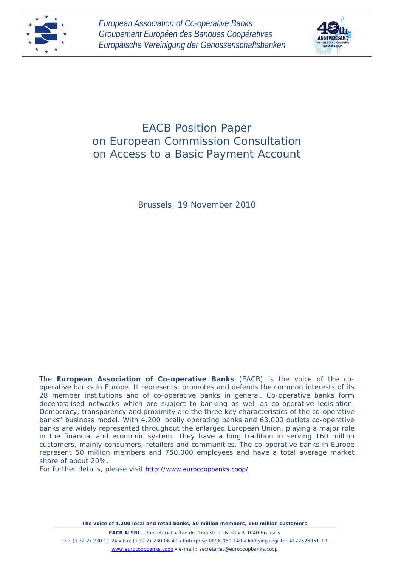



# EACB Position Paper on European Commission Consultation on Access to a Basic Payment Account

Brussels, 19 November 2010

The **European Association of Co-operative Banks** (EACB) is the voice of the cooperative banks in Europe. It represents, promotes and defends the common interests of its 28 member institutions and of co-operative banks in general. Co-operative banks form decentralised networks which are subject to banking as well as co-operative legislation. Democracy, transparency and proximity are the three key characteristics of the co-operative banks" business model. With 4.200 locally operating banks and 63.000 outlets co-operative banks are widely represented throughout the enlarged European Union, playing a major role in the financial and economic system. They have a long tradition in serving 160 million customers, mainly consumers, retailers and communities. The co-operative banks in Europe represent 50 million members and 750.000 employees and have a total average market share of about 20%.

For further details, please visit <http://www.eurocoopbanks.coop/>

*The voice of 4.200 local and retail banks, 50 million members, 160 million customers*

**EACB AISBL** – Secretariat • Rue de l'Industrie 26-38 • B-1040 Brussels Tel: (+32 2) 230 11 24 • Fax (+32 2) 230 06 49 • Enterprise 0896.081.149 • lobbying register 4172526951-19 [www.eurocoopbanks.coop](http://www.eurocoopbanks.coop/) • e-mail : secretariat@eurocoopbanks.coop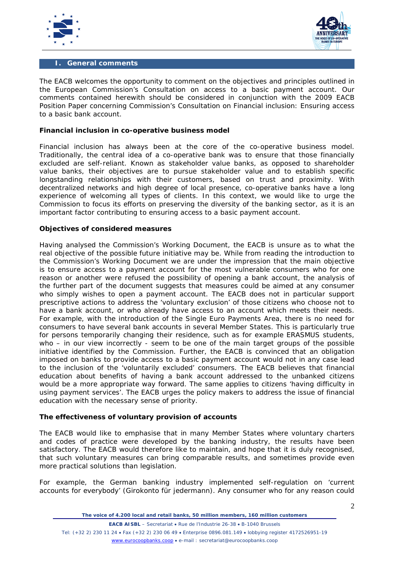



#### **I. General comments**

The EACB welcomes the opportunity to comment on the objectives and principles outlined in the European Commission's *Consultation on access to a basic payment account*. Our comments contained herewith should be considered in conjunction with the 2009 EACB Position Paper concerning Commission's *Consultation on Financial inclusion: Ensuring access to a basic bank account*.

#### **Financial inclusion in co-operative business model**

Financial inclusion has always been at the core of the co-operative business model. Traditionally, the central idea of a co-operative bank was to ensure that those financially excluded are self-reliant. Known as stakeholder value banks, as opposed to shareholder value banks, their objectives are to pursue stakeholder value and to establish specific longstanding relationships with their customers, based on trust and proximity. With decentralized networks and high degree of local presence, co-operative banks have a long experience of welcoming all types of clients. In this context, we would like to urge the Commission to focus its efforts on preserving the diversity of the banking sector, as it is an important factor contributing to ensuring access to a basic payment account.

#### **Objectives of considered measures**

Having analysed the Commission's Working Document, the EACB is unsure as to what the real objective of the possible future initiative may be. While from reading the introduction to the Commission's Working Document we are under the impression that the main objective is to ensure access to a payment account for the most vulnerable consumers who for one reason or another were refused the possibility of opening a bank account, the analysis of the further part of the document suggests that measures could be aimed at any consumer who simply wishes to open a payment account. The EACB does not in particular support prescriptive actions to address the 'voluntary exclusion' of those citizens who choose not to have a bank account, or who already have access to an account which meets their needs. For example, with the introduction of the Single Euro Payments Area, there is no need for consumers to have several bank accounts in several Member States. This is particularly true for persons temporarily changing their residence, such as for example ERASMUS students, who – in our view incorrectly - seem to be one of the main target groups of the possible initiative identified by the Commission. Further, the EACB is convinced that an obligation imposed on banks to provide access to a basic payment account would not in any case lead to the inclusion of the 'voluntarily excluded' consumers. The EACB believes that financial education about benefits of having a bank account addressed to the unbanked citizens would be a more appropriate way forward. The same applies to citizens *'having difficulty in using payment services'.* The EACB urges the policy makers to address the issue of financial education with the necessary sense of priority.

## **The effectiveness of voluntary provision of accounts**

The EACB would like to emphasise that in many Member States where voluntary charters and codes of practice were developed by the banking industry, the results have been satisfactory. The EACB would therefore like to maintain, and hope that it is duly recognised, that such voluntary measures can bring comparable results, and sometimes provide even more practical solutions than legislation.

For example, the German banking industry implemented self-regulation on 'current accounts for everybody' (Girokonto für jedermann). Any consumer who for any reason could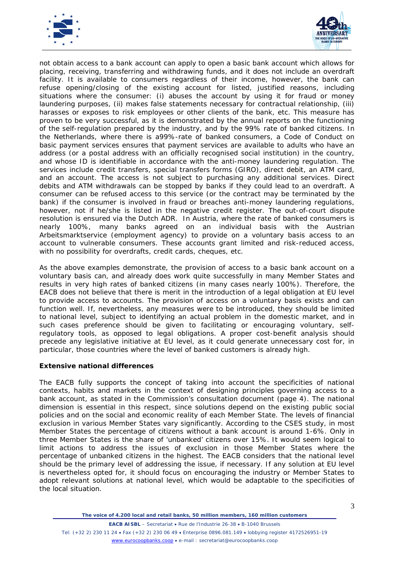



not obtain access to a bank account can apply to open a basic bank account which allows for placing, receiving, transferring and withdrawing funds, and it does not include an overdraft facility. It is available to consumers regardless of their income, however, the bank can refuse opening/closing of the existing account for listed, justified reasons, including situations where the consumer: (i) abuses the account by using it for fraud or money laundering purposes, (ii) makes false statements necessary for contractual relationship, (iii) harasses or exposes to risk employees or other clients of the bank, etc. This measure has proven to be very successful, as it is demonstrated by the annual reports on the functioning of the self-regulation prepared by the industry, and by the 99% rate of banked citizens. In the Netherlands, where there is a99%-rate of banked consumers, a *Code of Conduct on basic payment services* ensures that payment services are available to adults who have an address (or a postal address with an officially recognised social institution) in the country, and whose ID is identifiable in accordance with the anti-money laundering regulation. The services include credit transfers, special transfers forms (GIRO), direct debit, an ATM card, and an account. The access is not subject to purchasing any additional services. Direct debits and ATM withdrawals can be stopped by banks if they could lead to an overdraft. A consumer can be refused access to this service (or the contract may be terminated by the bank) if the consumer is involved in fraud or breaches anti-money laundering regulations, however, not if he/she is listed in the negative credit register. The out-of-court dispute resolution is ensured via the Dutch ADR. In Austria, where the rate of banked consumers is nearly 100%, many banks agreed on an individual basis with the Austrian Arbeitsmarktservice (employment agency) to provide on a voluntary basis access to an account to vulnerable consumers. These accounts grant limited and risk-reduced access, with no possibility for overdrafts, credit cards, cheques, etc.

As the above examples demonstrate, the provision of access to a basic bank account on a voluntary basis can, and already does work quite successfully in many Member States and results in very high rates of banked citizens (in many cases nearly 100%). Therefore, the EACB does not believe that there is merit in the introduction of a legal obligation at EU level to provide access to accounts. The provision of access on a voluntary basis exists and can function well. If, nevertheless, any measures were to be introduced, they should be limited to national level, subject to identifying an actual problem in the domestic market, and in such cases preference should be given to facilitating or encouraging voluntary, selfregulatory tools, as opposed to legal obligations. A proper cost-benefit analysis should precede any legislative initiative at EU level, as it could generate unnecessary cost for, in particular, those countries where the level of banked customers is already high.

## **Extensive national differences**

The EACB fully supports the concept of taking into account the specificities of national contexts, habits and markets in the context of designing principles governing access to a bank account, as stated in the Commission's consultation document (page 4). The national dimension is essential in this respect, since solutions depend on the existing public social policies and on the social and economic reality of each Member State. The levels of financial exclusion in various Member States vary significantly. According to the CSES study, in most Member States the percentage of citizens without a bank account is around 1-6%. Only in three Member States is the share of 'unbanked' citizens over 15%. It would seem logical to limit actions to address the issues of exclusion in those Member States where the percentage of unbanked citizens in the highest. The EACB considers that the national level should be the primary level of addressing the issue, if necessary. If any solution at EU level is nevertheless opted for, it should focus on encouraging the industry or Member States to adopt relevant solutions at national level, which would be adaptable to the specificities of the local situation.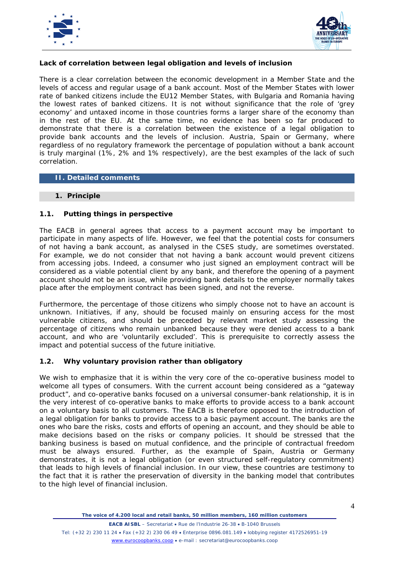



# **Lack of correlation between legal obligation and levels of inclusion**

There is a clear correlation between the economic development in a Member State and the levels of access and regular usage of a bank account. Most of the Member States with lower rate of banked citizens include the EU12 Member States, with Bulgaria and Romania having the lowest rates of banked citizens. It is not without significance that the role of 'grey economy' and untaxed income in those countries forms a larger share of the economy than in the rest of the EU. At the same time, no evidence has been so far produced to demonstrate that there is a correlation between the existence of a legal obligation to provide bank accounts and the levels of inclusion. Austria, Spain or Germany, where regardless of no regulatory framework the percentage of population without a bank account is truly marginal (1%, 2% and 1% respectively), are the best examples of the lack of such correlation.

## **II. Detailed comments**

#### **1. Principle**

## **1.1. Putting things in perspective**

The EACB in general agrees that access to a payment account may be important to participate in many aspects of life. However, we feel that the potential costs for consumers of not having a bank account, as analysed in the CSES study, are sometimes overstated. For example, we do not consider that not having a bank account would prevent citizens from accessing jobs. Indeed, a consumer who just signed an employment contract will be considered as a viable potential client by any bank, and therefore the opening of a payment account should not be an issue, while providing bank details to the employer normally takes place after the employment contract has been signed, and not the reverse.

Furthermore, the percentage of those citizens who simply choose not to have an account is unknown. Initiatives, if any, should be focused mainly on ensuring access for the most vulnerable citizens, and should be preceded by relevant market study assessing the percentage of citizens who remain unbanked because they were denied access to a bank account, and who are 'voluntarily excluded'. This is prerequisite to correctly assess the impact and potential success of the future initiative.

## **1.2. Why voluntary provision rather than obligatory**

We wish to emphasize that it is within the very core of the co-operative business model to welcome all types of consumers. With the current account being considered as a "gateway product", and co-operative banks focused on a universal consumer-bank relationship, it is in the very interest of co-operative banks to make efforts to provide access to a bank account on a voluntary basis to all customers. The EACB is therefore opposed to the introduction of a legal obligation for banks to provide access to a basic payment account. The banks are the ones who bare the risks, costs and efforts of opening an account, and they should be able to make decisions based on the risks or company policies. It should be stressed that the banking business is based on mutual confidence, and the principle of contractual freedom must be always ensured. Further, as the example of Spain, Austria or Germany demonstrates, it is not a legal obligation (or even structured self-regulatory commitment) that leads to high levels of financial inclusion. In our view, these countries are testimony to the fact that it is rather the preservation of diversity in the banking model that contributes to the high level of financial inclusion.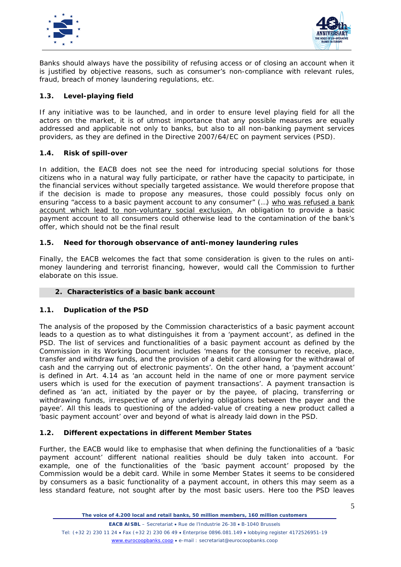



Banks should always have the possibility of refusing access or of closing an account when it is justified by objective reasons, such as consumer's non-compliance with relevant rules, fraud, breach of money laundering regulations, etc.

# **1.3. Level-playing field**

If any initiative was to be launched, and in order to ensure level playing field for all the actors on the market, it is of utmost importance that any possible measures are equally addressed and applicable not only to banks, but also to all non-banking payment services providers, as they are defined in the Directive 2007/64/EC on payment services (PSD).

## **1.4. Risk of spill-over**

In addition, the EACB does not see the need for introducing special solutions for those citizens who in a natural way fully participate, or rather have the capacity to participate, in the financial services without specially targeted assistance. We would therefore propose that if the decision is made to propose any measures, those could possibly focus only on ensuring *"access to a basic payment account to any consumer" (...)* who was refused a bank <u>account which lead to non-voluntary social exclusion.</u> An obligation to provide a basic payment account to all consumers could otherwise lead to the contamination of the bank's offer, which should not be the final result

## **1.5. Need for thorough observance of anti-money laundering rules**

Finally, the EACB welcomes the fact that some consideration is given to the rules on antimoney laundering and terrorist financing, however, would call the Commission to further elaborate on this issue.

## **2. Characteristics of a basic bank account**

## **1.1. Duplication of the PSD**

The analysis of the proposed by the Commission characteristics of a basic payment account leads to a question as to what distinguishes it from a 'payment account', as defined in the PSD. The list of services and functionalities of a basic payment account as defined by the Commission in its Working Document includes *'means for the consumer to receive, place, transfer and withdraw funds, and the provision of a debit card allowing for the withdrawal of cash and the carrying out of electronic payments'.* On the other hand, a 'payment account' is defined in Art. 4.14 as *'an account held in the name of one or more payment service users which is used for the execution of payment transactions'.* A payment transaction is defined as *'an act, initiated by the payer or by the payee, of placing, transferring or withdrawing funds, irrespective of any underlying obligations between the payer and the payee'.* All this leads to questioning of the added-value of creating a new product called a 'basic payment account' over and beyond of what is already laid down in the PSD.

## **1.2. Different expectations in different Member States**

Further, the EACB would like to emphasise that when defining the functionalities of a 'basic payment account' different national realities should be duly taken into account. For example, one of the functionalities of the 'basic payment account' proposed by the Commission would be a debit card. While in some Member States it seems to be considered by consumers as a basic functionality of a payment account, in others this may seem as a less standard feature, not sought after by the most basic users. Here too the PSD leaves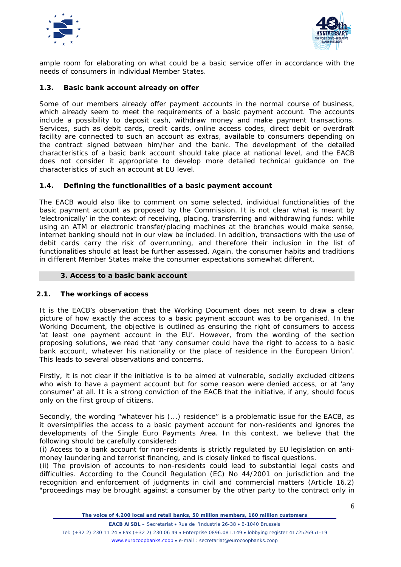



ample room for elaborating on what could be a basic service offer in accordance with the needs of consumers in individual Member States.

## **1.3. Basic bank account already on offer**

Some of our members already offer payment accounts in the normal course of business, which already seem to meet the requirements of a basic payment account. The accounts include a possibility to deposit cash, withdraw money and make payment transactions. Services, such as debit cards, credit cards, online access codes, direct debit or overdraft facility are connected to such an account as extras, available to consumers depending on the contract signed between him/her and the bank. The development of the detailed characteristics of a basic bank account should take place at national level, and the EACB does not consider it appropriate to develop more detailed technical guidance on the characteristics of such an account at EU level.

## **1.4. Defining the functionalities of a basic payment account**

The EACB would also like to comment on some selected, individual functionalities of the basic payment account as proposed by the Commission. It is not clear what is meant by 'electronically' in the context of receiving, placing, transferring and withdrawing funds: while using an ATM or electronic transfer/placing machines at the branches would make sense, internet banking should not in our view be included. In addition, transactions with the use of debit cards carry the risk of overrunning, and therefore their inclusion in the list of functionalities should at least be further assessed. Again, the consumer habits and traditions in different Member States make the consumer expectations somewhat different.

## **3. Access to a basic bank account**

## **2.1. The workings of access**

It is the EACB's observation that the Working Document does not seem to draw a clear picture of how exactly the access to a basic payment account was to be organised. In the Working Document, the objective is outlined as ensuring the right of consumers to access *'at least one payment account in the EU'*. However, from the wording of the section proposing solutions, we read that *'any consumer could have the right to access to a basic*  bank account, whatever his nationality or the place of residence in the European Union'. This leads to several observations and concerns.

*Firstly*, it is not clear if the initiative is to be aimed at vulnerable, socially excluded citizens who wish to have a payment account but for some reason were denied access, or at 'any consumer' at all. It is a strong conviction of the EACB that the initiative, if any, should focus only on the first group of citizens.

*Secondly*, the wording *"whatever his (...) residence"* is a problematic issue for the EACB, as it oversimplifies the access to a basic payment account for non-residents and ignores the developments of the Single Euro Payments Area. In this context, we believe that the following should be carefully considered:

(i) Access to a bank account for non-residents is strictly regulated by EU legislation on antimoney laundering and terrorist financing, and is closely linked to fiscal questions.

(ii) The provision of accounts to non-residents could lead to substantial legal costs and difficulties. According to the Council Regulation (EC) No 44/2001 on jurisdiction and the recognition and enforcement of judgments in civil and commercial matters (Article 16.2) *"proceedings may be brought against a consumer by the other party to the contract only in*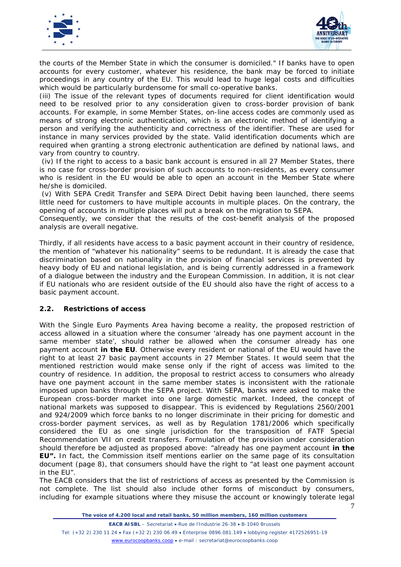



*the courts of the Member State in which the consumer is domiciled."* If banks have to open accounts for every customer, whatever his residence, the bank may be forced to initiate proceedings in any country of the EU. This would lead to huge legal costs and difficulties which would be particularly burdensome for small co-operative banks.

(iii) The issue of the relevant types of documents required for client identification would need to be resolved prior to any consideration given to cross-border provision of bank accounts. For example, in some Member States, on-line access codes are commonly used as means of strong electronic authentication, which is an electronic method of identifying a person and verifying the authenticity and correctness of the identifier. These are used for instance in many services provided by the state. Valid identification documents which are required when granting a strong electronic authentication are defined by national laws, and vary from country to country.

(iv) If the right to access to a basic bank account is ensured in all 27 Member States, there is no case for cross-border provision of such accounts to non-residents, as every consumer who is resident in the EU would be able to open an account in the Member State where he/she is domiciled.

(v) With SEPA Credit Transfer and SEPA Direct Debit having been launched, there seems little need for customers to have multiple accounts in multiple places. On the contrary, the opening of accounts in multiple places will put a break on the migration to SEPA.

Consequently, we consider that the results of the cost-benefit analysis of the proposed analysis are overall negative.

*Thirdly*, if all residents have access to a basic payment account in their country of residence, the mention of *"whatever his nationality"* seems to be redundant. It is already the case that discrimination based on nationality in the provision of financial services is prevented by heavy body of EU and national legislation, and is being currently addressed in a framework of a dialogue between the industry and the European Commission. In addition, it is not clear if EU nationals who are resident outside of the EU should also have the right of access to a basic payment account.

# **2.2. Restrictions of access**

With the Single Euro Payments Area having become a reality, the proposed restriction of access allowed in a situation where the consumer *'already has one payment account in the same member state'*, should rather be allowed when the consumer already has one payment account **in the EU**. Otherwise every resident or national of the EU would have the right to at least 27 basic payment accounts in 27 Member States. It would seem that the mentioned restriction would make sense only if the right of access was limited to the country of residence. In addition, the proposal to restrict access to consumers who already have one payment account in the same member states is inconsistent with the rationale imposed upon banks through the SEPA project. With SEPA, banks were asked to make the European cross-border market into one large domestic market. Indeed, the concept of national markets was supposed to disappear. This is evidenced by Regulations 2560/2001 and 924/2009 which force banks to no longer discriminate in their pricing for domestic and cross-border payment services, as well as by Regulation 1781/2006 which specifically considered the EU as one single jurisdiction for the transposition of FATF Special Recommendation VII on credit transfers. Formulation of the provision under consideration should therefore be adjusted as proposed above: "already has one payment account **in the EU".** In fact, the Commission itself mentions earlier on the same page of its consultation document (page 8), that consumers should have the right to *"at least one payment account in the EU".*

7 The EACB considers that the list of restrictions of access as presented by the Commission is not complete. The list should also include other forms of misconduct by consumers, including for example situations where they misuse the account or knowingly tolerate legal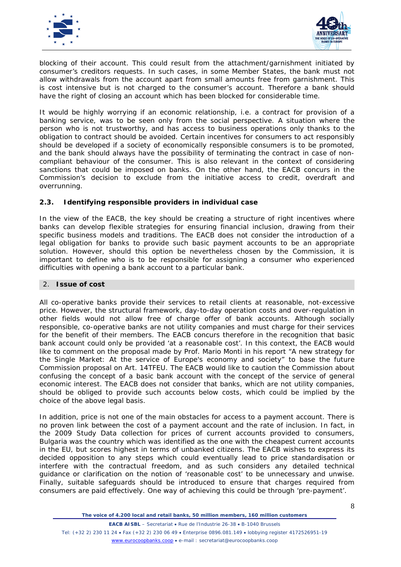



blocking of their account. This could result from the attachment/garnishment initiated by consumer's creditors requests. In such cases, in some Member States, the bank must not allow withdrawals from the account apart from small amounts free from garnishment. This is cost intensive but is not charged to the consumer's account. Therefore a bank should have the right of closing an account which has been blocked for considerable time.

It would be highly worrying if an economic relationship, i.e. a contract for provision of a banking service, was to be seen only from the social perspective. A situation where the person who is not trustworthy, and has access to business operations only thanks to the obligation to contract should be avoided. Certain incentives for consumers to act responsibly should be developed if a society of economically responsible consumers is to be promoted, and the bank should always have the possibility of terminating the contract in case of noncompliant behaviour of the consumer. This is also relevant in the context of considering sanctions that could be imposed on banks. On the other hand, the EACB concurs in the Commission's decision to exclude from the initiative access to credit, overdraft and overrunning.

## **2.3. Identifying responsible providers in individual case**

In the view of the EACB, the key should be creating a structure of right incentives where banks can develop flexible strategies for ensuring financial inclusion, drawing from their specific business models and traditions. The EACB does not consider the introduction of a legal obligation for banks to provide such basic payment accounts to be an appropriate solution. However, should this option be nevertheless chosen by the Commission, it is important to define who is to be responsible for assigning a consumer who experienced difficulties with opening a bank account to a particular bank.

## 2. **Issue of cost**

All co-operative banks provide their services to retail clients at reasonable, not-excessive price. However, the structural framework, day-to-day operation costs and over-regulation in other fields would not allow free of charge offer of bank accounts. Although socially responsible, co-operative banks are not utility companies and must charge for their services for the benefit of their members. The EACB concurs therefore in the recognition that basic bank account could only be provided *'at a reasonable cost'.* In this context, the EACB would like to comment on the proposal made by Prof. Mario Monti in his report *"A new strategy for the Single Market: At the service of Europe's economy and society"* to base the future Commission proposal on Art. 14TFEU. The EACB would like to caution the Commission about confusing the concept of a basic bank account with the concept of the service of general economic interest. The EACB does not consider that banks, which are not utility companies, should be obliged to provide such accounts below costs, which could be implied by the choice of the above legal basis.

In addition, price is not one of the main obstacles for access to a payment account. There is no proven link between the cost of a payment account and the rate of inclusion. In fact, in the 2009 Study *Data collection for prices of current accounts provided to consumers,* Bulgaria was the country which was identified as the one with the cheapest current accounts in the EU, but scores highest in terms of unbanked citizens. The EACB wishes to express its decided opposition to any steps which could eventually lead to price standardisation or interfere with the contractual freedom, and as such considers any detailed technical guidance or clarification on the notion of 'reasonable cost' to be unnecessary and unwise. Finally, suitable safeguards should be introduced to ensure that charges required from consumers are paid effectively. One way of achieving this could be through 'pre-payment'.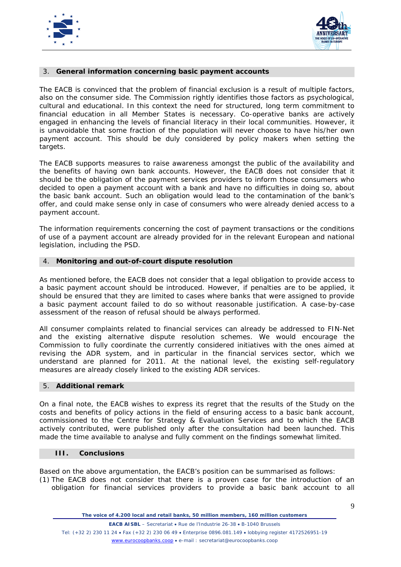



## 3. **General information concerning basic payment accounts**

The EACB is convinced that the problem of financial exclusion is a result of multiple factors, also on the consumer side. The Commission rightly identifies those factors as psychological, cultural and educational. In this context the need for structured, long term commitment to financial education in all Member States is necessary. Co-operative banks are actively engaged in enhancing the levels of financial literacy in their local communities. However, it is unavoidable that some fraction of the population will never choose to have his/her own payment account. This should be duly considered by policy makers when setting the targets.

The EACB supports measures to raise awareness amongst the public of the availability and the benefits of having own bank accounts. However, the EACB does not consider that it should be the obligation of the payment services providers to inform those consumers who decided to open a payment account with a bank and have no difficulties in doing so, about the basic bank account. Such an obligation would lead to the contamination of the bank's offer, and could make sense only in case of consumers who were already denied access to a payment account.

The information requirements concerning the cost of payment transactions or the conditions of use of a payment account are already provided for in the relevant European and national legislation, including the PSD.

## 4. **Monitoring and out-of-court dispute resolution**

As mentioned before, the EACB does not consider that a legal obligation to provide access to a basic payment account should be introduced. However, if penalties are to be applied, it should be ensured that they are limited to cases where banks that were assigned to provide a basic payment account failed to do so without reasonable justification. A case-by-case assessment of the reason of refusal should be always performed.

All consumer complaints related to financial services can already be addressed to FIN-Net and the existing alternative dispute resolution schemes. We would encourage the Commission to fully coordinate the currently considered initiatives with the ones aimed at revising the ADR system, and in particular in the financial services sector, which we understand are planned for 2011. At the national level, the existing self-regulatory measures are already closely linked to the existing ADR services.

## 5. **Additional remark**

On a final note, the EACB wishes to express its regret that the results of the *Study on the costs and benefits of policy actions in the field of ensuring access to a basic bank account*, commissioned to the Centre for Strategy & Evaluation Services and to which the EACB actively contributed, were published only after the consultation had been launched. This made the time available to analyse and fully comment on the findings somewhat limited.

## **III. Conclusions**

Based on the above argumentation, the EACB's position can be summarised as follows:

(1) The EACB does not consider that there is a proven case for the introduction of an obligation for financial services providers to provide a basic bank account to all